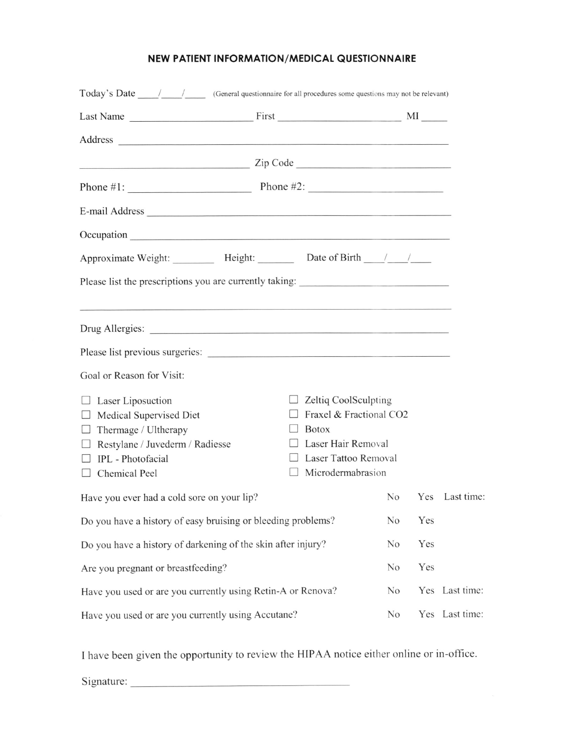## NEW PATIENT INFORMATION/MEDICAL QUESTIONNAIRE

| $\frac{1}{2}$ $\frac{1}{2}$ $\frac{1}{2}$ $\frac{1}{2}$ $\frac{1}{2}$ $\frac{1}{2}$ $\frac{1}{2}$ $\frac{1}{2}$ $\frac{1}{2}$ $\frac{1}{2}$ $\frac{1}{2}$ $\frac{1}{2}$ $\frac{1}{2}$ $\frac{1}{2}$ $\frac{1}{2}$ $\frac{1}{2}$ $\frac{1}{2}$ $\frac{1}{2}$ $\frac{1}{2}$ $\frac{1}{2}$ $\frac{1}{2}$ $\frac{1}{2}$ |                                                                                                                |                         |                |  |  |  |  |
|---------------------------------------------------------------------------------------------------------------------------------------------------------------------------------------------------------------------------------------------------------------------------------------------------------------------|----------------------------------------------------------------------------------------------------------------|-------------------------|----------------|--|--|--|--|
| Phone #1: $\qquad \qquad$ Phone #2:                                                                                                                                                                                                                                                                                 |                                                                                                                |                         |                |  |  |  |  |
|                                                                                                                                                                                                                                                                                                                     |                                                                                                                |                         |                |  |  |  |  |
|                                                                                                                                                                                                                                                                                                                     |                                                                                                                |                         |                |  |  |  |  |
|                                                                                                                                                                                                                                                                                                                     |                                                                                                                |                         |                |  |  |  |  |
| Please list the prescriptions you are currently taking: _________________________                                                                                                                                                                                                                                   |                                                                                                                |                         |                |  |  |  |  |
|                                                                                                                                                                                                                                                                                                                     |                                                                                                                |                         |                |  |  |  |  |
|                                                                                                                                                                                                                                                                                                                     |                                                                                                                |                         |                |  |  |  |  |
|                                                                                                                                                                                                                                                                                                                     |                                                                                                                |                         |                |  |  |  |  |
| Goal or Reason for Visit:                                                                                                                                                                                                                                                                                           |                                                                                                                |                         |                |  |  |  |  |
| $\Box$ Laser Liposuction<br>Medical Supervised Diet<br>$\Box$<br>Thermage / Ultherapy<br>ш<br>$\Box$ Restylane / Juvederm / Radiesse<br>IPL - Photofacial<br>$\Box$ Chemical Peel                                                                                                                                   | $\Box$ Zeltiq CoolSculpting<br><b>Botox</b><br>Laser Hair Removal<br>Laser Tattoo Removal<br>Microdermabrasion | Fraxel & Fractional CO2 |                |  |  |  |  |
| Have you ever had a cold sore on your lip?                                                                                                                                                                                                                                                                          |                                                                                                                | No                      | Yes Last time  |  |  |  |  |
| Do you have a history of easy bruising or bleeding problems?                                                                                                                                                                                                                                                        |                                                                                                                | Yes<br>N <sub>o</sub>   |                |  |  |  |  |
| Do you have a history of darkening of the skin after injury?                                                                                                                                                                                                                                                        |                                                                                                                | Yes<br>N <sub>o</sub>   |                |  |  |  |  |
| Are you pregnant or breastfeeding?                                                                                                                                                                                                                                                                                  |                                                                                                                | Yes<br>N <sub>0</sub>   |                |  |  |  |  |
| Have you used or are you currently using Retin-A or Renova?                                                                                                                                                                                                                                                         |                                                                                                                | N <sub>0</sub>          | Yes Last time: |  |  |  |  |
| Have you used or are you currently using Accutane?                                                                                                                                                                                                                                                                  | N <sub>0</sub>                                                                                                 | Yes Last time:          |                |  |  |  |  |

I have been given the opportunity to review the HIPAA notice either online or in-office.

Signature: